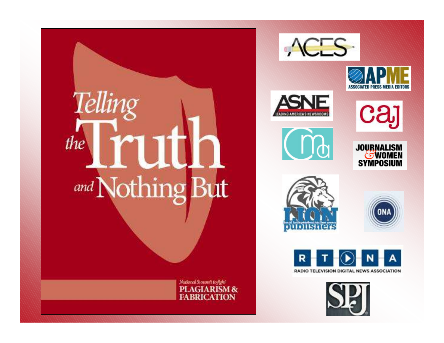





นภายนคร

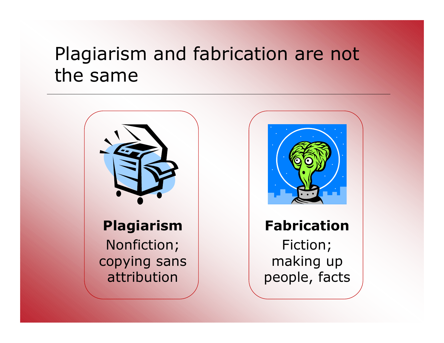## Plagiarism and fabrication are not the same





#### **Fabrication**

Fiction; making up people, facts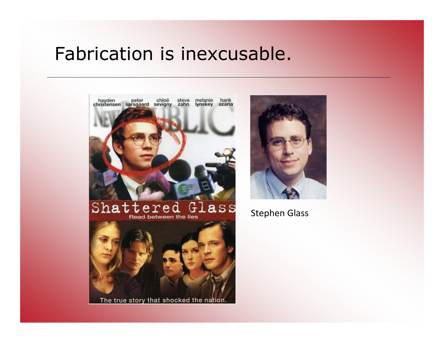### Fabrication is inexcusable.





Stephen Glass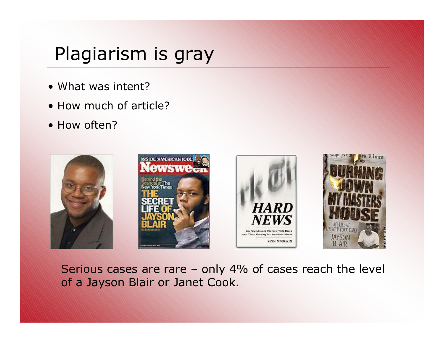## Plagiarism is gray

- What was intent?
- How much of article?
- How often?



Serious cases are rare – only 4% of cases reach the level of a Jayson Blair or Janet Cook.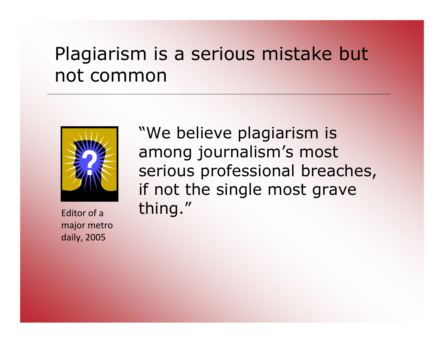## Plagiarism is a serious mistake but not common



major metro daily, 2005

"We believe plagiarism is among journalism's most serious professional breaches, if not the single most grave Editor of a thing."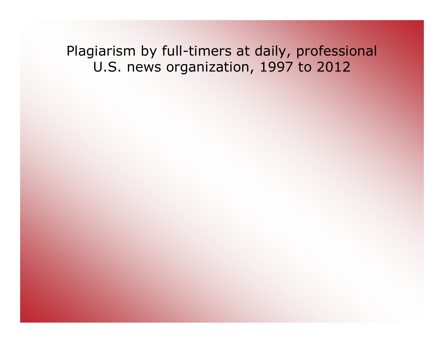Plagiarism by full-timers at daily, professional U.S. news organization, 1997 to 2012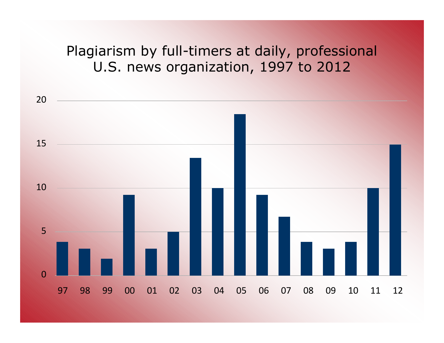#### Plagiarism by full-timers at daily, professional U.S. news organization, 1997 to 2012

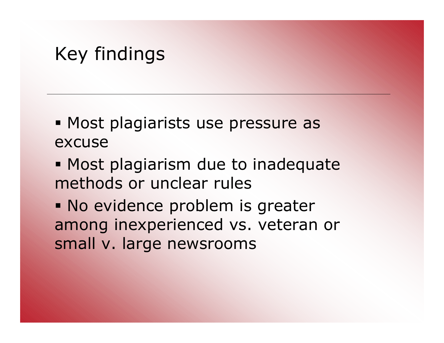# Key findings

- Most plagiarists use pressure as excuse
- Most plagiarism due to inadequate methods or unclear rules
- No evidence problem is greater among inexperienced vs. veteran or small v. large newsrooms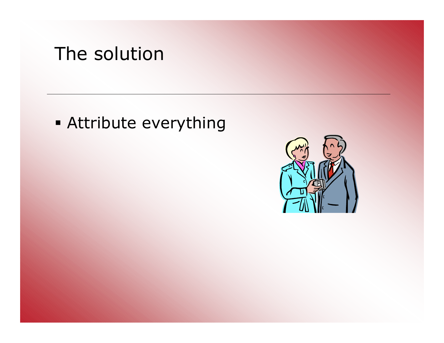# The solution

Attribute everything

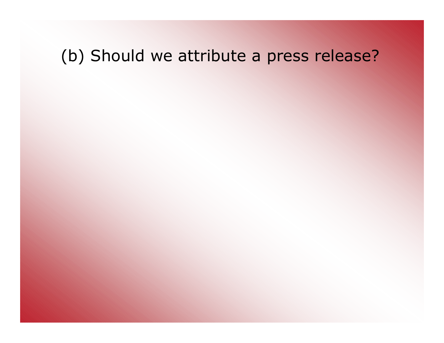### (b) Should we attribute a press release?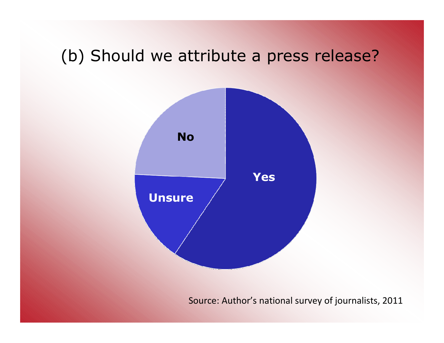### (b) Should we attribute a press release?



Source: Author's national survey of journalists, 2011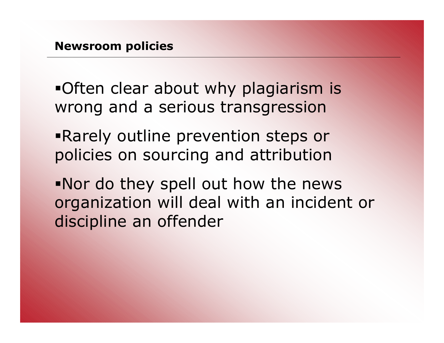Often clear about why plagiarism is wrong and a serious transgression

- Rarely outline prevention steps or policies on sourcing and attribution
- Nor do they spell out how the news organization will deal with an incident or discipline an offender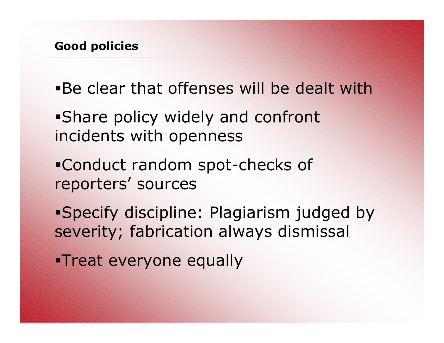- Be clear that offenses will be dealt with
- Share policy widely and confront incidents with openness
- Conduct random spot-checks of reporters' sources
- Specify discipline: Plagiarism judged by severity; fabrication always dismissal
- **Treat everyone equally**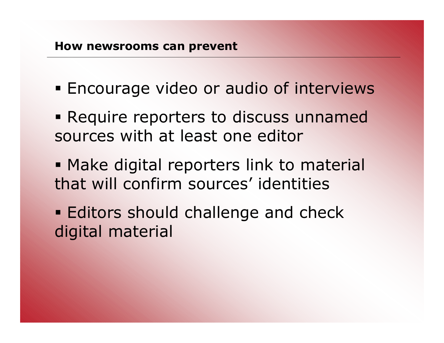- Encourage video or audio of interviews
- Require reporters to discuss unnamed sources with at least one editor
- Make digital reporters link to material that will confirm sources' identities
- **Editors should challenge and check** digital material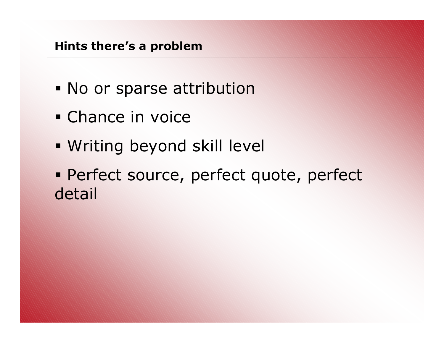- **No or sparse attribution**
- Chance in voice
- Writing beyond skill level
- Perfect source, perfect quote, perfect detail